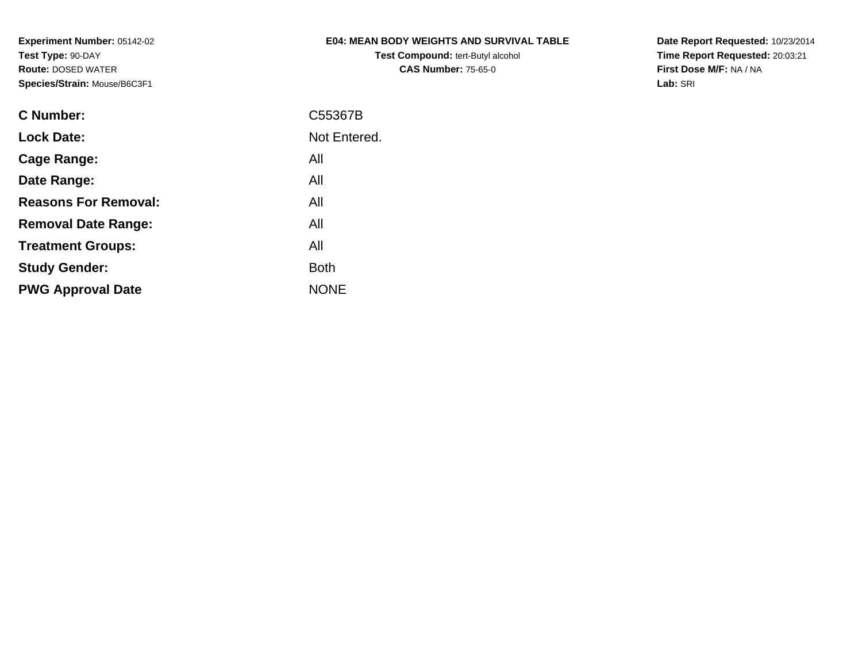# **E04: MEAN BODY WEIGHTS AND SURVIVAL TABLE**

**Test Compound:** tert-Butyl alcohol **CAS Number:** 75-65-0

**Date Report Requested:** 10/23/2014 **Time Report Requested:** 20:03:21**First Dose M/F:** NA / NA**Lab:** SRI

| C Number:                   | C55367B      |
|-----------------------------|--------------|
| <b>Lock Date:</b>           | Not Entered. |
| Cage Range:                 | All          |
| Date Range:                 | All          |
| <b>Reasons For Removal:</b> | All          |
| <b>Removal Date Range:</b>  | All          |
| <b>Treatment Groups:</b>    | All          |
| <b>Study Gender:</b>        | <b>Both</b>  |
| <b>PWG Approval Date</b>    | <b>NONE</b>  |
|                             |              |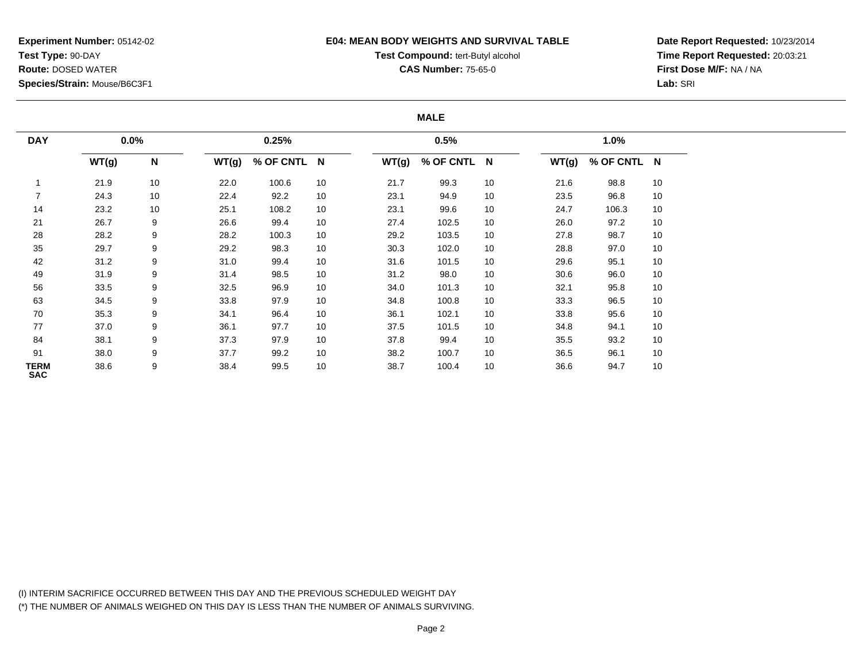### **E04: MEAN BODY WEIGHTS AND SURVIVAL TABLE**

# **Test Compound:** tert-Butyl alcohol

**CAS Number:** 75-65-0

**Date Report Requested:** 10/23/2014**Time Report Requested:** 20:03:21**First Dose M/F:** NA / NA**Lab:** SRI

#### **MALE**

| <b>DAY</b>         | 0.0%  |           | 0.25% |             |    |       | 0.5%        |    |       | 1.0%        |    |  |
|--------------------|-------|-----------|-------|-------------|----|-------|-------------|----|-------|-------------|----|--|
|                    | WT(g) | ${\sf N}$ | WT(g) | % OF CNTL N |    | WT(g) | % OF CNTL N |    | WT(g) | % OF CNTL N |    |  |
|                    | 21.9  | 10        | 22.0  | 100.6       | 10 | 21.7  | 99.3        | 10 | 21.6  | 98.8        | 10 |  |
|                    | 24.3  | 10        | 22.4  | 92.2        | 10 | 23.1  | 94.9        | 10 | 23.5  | 96.8        | 10 |  |
| 14                 | 23.2  | 10        | 25.1  | 108.2       | 10 | 23.1  | 99.6        | 10 | 24.7  | 106.3       | 10 |  |
| 21                 | 26.7  | 9         | 26.6  | 99.4        | 10 | 27.4  | 102.5       | 10 | 26.0  | 97.2        | 10 |  |
| 28                 | 28.2  | 9         | 28.2  | 100.3       | 10 | 29.2  | 103.5       | 10 | 27.8  | 98.7        | 10 |  |
| 35                 | 29.7  | 9         | 29.2  | 98.3        | 10 | 30.3  | 102.0       | 10 | 28.8  | 97.0        | 10 |  |
| 42                 | 31.2  | 9         | 31.0  | 99.4        | 10 | 31.6  | 101.5       | 10 | 29.6  | 95.1        | 10 |  |
| 49                 | 31.9  | 9         | 31.4  | 98.5        | 10 | 31.2  | 98.0        | 10 | 30.6  | 96.0        | 10 |  |
| 56                 | 33.5  | 9         | 32.5  | 96.9        | 10 | 34.0  | 101.3       | 10 | 32.1  | 95.8        | 10 |  |
| 63                 | 34.5  | 9         | 33.8  | 97.9        | 10 | 34.8  | 100.8       | 10 | 33.3  | 96.5        | 10 |  |
| 70                 | 35.3  | 9         | 34.1  | 96.4        | 10 | 36.1  | 102.1       | 10 | 33.8  | 95.6        | 10 |  |
| 77                 | 37.0  | 9         | 36.1  | 97.7        | 10 | 37.5  | 101.5       | 10 | 34.8  | 94.1        | 10 |  |
| 84                 | 38.1  | 9         | 37.3  | 97.9        | 10 | 37.8  | 99.4        | 10 | 35.5  | 93.2        | 10 |  |
| 91                 | 38.0  | 9         | 37.7  | 99.2        | 10 | 38.2  | 100.7       | 10 | 36.5  | 96.1        | 10 |  |
| TERM<br><b>SAC</b> | 38.6  | 9         | 38.4  | 99.5        | 10 | 38.7  | 100.4       | 10 | 36.6  | 94.7        | 10 |  |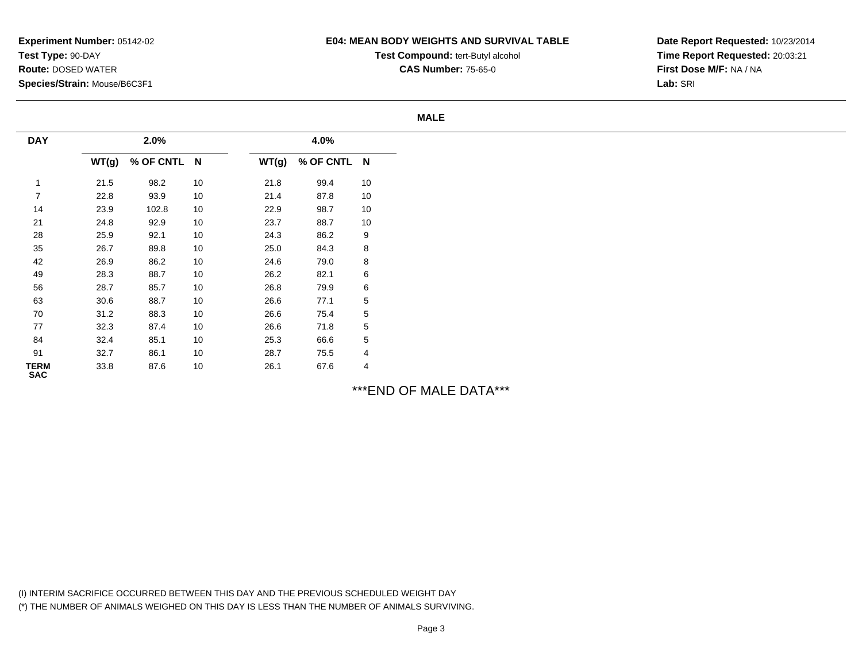# **E04: MEAN BODY WEIGHTS AND SURVIVAL TABLE**

**Test Compound:** tert-Butyl alcohol **CAS Number:** 75-65-0

**Date Report Requested:** 10/23/2014**Time Report Requested:** 20:03:21**First Dose M/F:** NA / NA**Lab:** SRI

#### **MALE**

| <b>DAY</b>                |       | 2.0%      |    | 4.0%  |             |             |  |
|---------------------------|-------|-----------|----|-------|-------------|-------------|--|
|                           | WT(g) | % OF CNTL | N  | WT(g) | % OF CNTL N |             |  |
| $\mathbf{1}$              | 21.5  | 98.2      | 10 | 21.8  | 99.4        | 10          |  |
| $\overline{7}$            | 22.8  | 93.9      | 10 | 21.4  | 87.8        | 10          |  |
| 14                        | 23.9  | 102.8     | 10 | 22.9  | 98.7        | 10          |  |
| 21                        | 24.8  | 92.9      | 10 | 23.7  | 88.7        | 10          |  |
| 28                        | 25.9  | 92.1      | 10 | 24.3  | 86.2        | 9           |  |
| 35                        | 26.7  | 89.8      | 10 | 25.0  | 84.3        | 8           |  |
| 42                        | 26.9  | 86.2      | 10 | 24.6  | 79.0        | 8           |  |
| 49                        | 28.3  | 88.7      | 10 | 26.2  | 82.1        | 6           |  |
| 56                        | 28.7  | 85.7      | 10 | 26.8  | 79.9        | 6           |  |
| 63                        | 30.6  | 88.7      | 10 | 26.6  | 77.1        | $\,$ 5 $\,$ |  |
| 70                        | 31.2  | 88.3      | 10 | 26.6  | 75.4        | $\,$ 5 $\,$ |  |
| 77                        | 32.3  | 87.4      | 10 | 26.6  | 71.8        | $\,$ 5 $\,$ |  |
| 84                        | 32.4  | 85.1      | 10 | 25.3  | 66.6        | 5           |  |
| 91                        | 32.7  | 86.1      | 10 | 28.7  | 75.5        | 4           |  |
| <b>TERM</b><br><b>SAC</b> | 33.8  | 87.6      | 10 | 26.1  | 67.6        | 4           |  |

\*\*\*END OF MALE DATA\*\*\*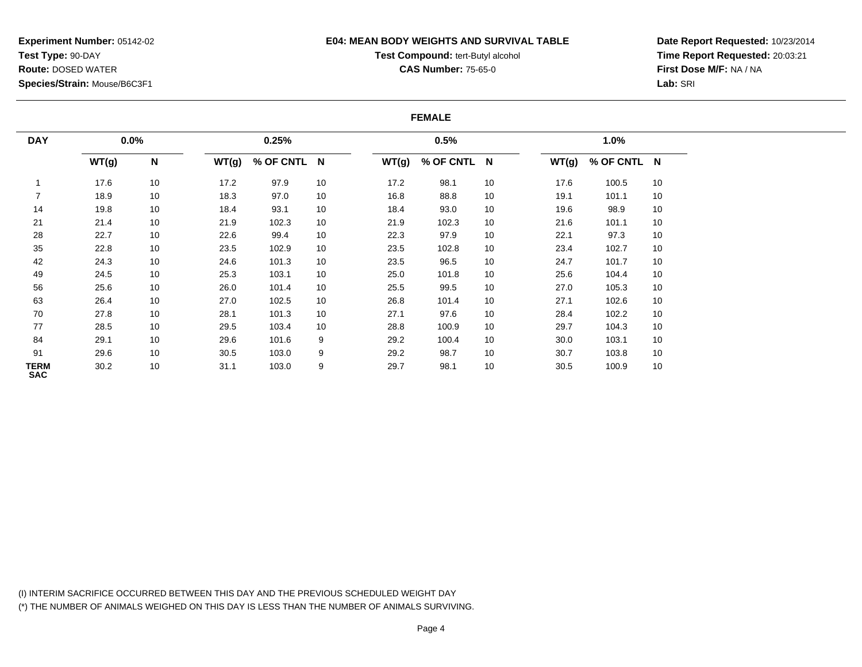### **E04: MEAN BODY WEIGHTS AND SURVIVAL TABLE**

# **Test Compound:** tert-Butyl alcohol

**CAS Number:** 75-65-0

**Date Report Requested:** 10/23/2014**Time Report Requested:** 20:03:21**First Dose M/F:** NA / NA**Lab:** SRI

#### **FEMALE**

| <b>DAY</b>         |       | $0.0\%$ |       | 0.25%       |    | 0.5%  |             |    |       | 1.0%        |    |  |
|--------------------|-------|---------|-------|-------------|----|-------|-------------|----|-------|-------------|----|--|
|                    | WT(g) | N       | WT(g) | % OF CNTL N |    | WT(g) | % OF CNTL N |    | WT(g) | % OF CNTL N |    |  |
|                    | 17.6  | 10      | 17.2  | 97.9        | 10 | 17.2  | 98.1        | 10 | 17.6  | 100.5       | 10 |  |
|                    | 18.9  | 10      | 18.3  | 97.0        | 10 | 16.8  | 88.8        | 10 | 19.1  | 101.1       | 10 |  |
| 14                 | 19.8  | 10      | 18.4  | 93.1        | 10 | 18.4  | 93.0        | 10 | 19.6  | 98.9        | 10 |  |
| 21                 | 21.4  | 10      | 21.9  | 102.3       | 10 | 21.9  | 102.3       | 10 | 21.6  | 101.1       | 10 |  |
| 28                 | 22.7  | 10      | 22.6  | 99.4        | 10 | 22.3  | 97.9        | 10 | 22.1  | 97.3        | 10 |  |
| 35                 | 22.8  | 10      | 23.5  | 102.9       | 10 | 23.5  | 102.8       | 10 | 23.4  | 102.7       | 10 |  |
| 42                 | 24.3  | 10      | 24.6  | 101.3       | 10 | 23.5  | 96.5        | 10 | 24.7  | 101.7       | 10 |  |
| 49                 | 24.5  | 10      | 25.3  | 103.1       | 10 | 25.0  | 101.8       | 10 | 25.6  | 104.4       | 10 |  |
| 56                 | 25.6  | 10      | 26.0  | 101.4       | 10 | 25.5  | 99.5        | 10 | 27.0  | 105.3       | 10 |  |
| 63                 | 26.4  | 10      | 27.0  | 102.5       | 10 | 26.8  | 101.4       | 10 | 27.1  | 102.6       | 10 |  |
| 70                 | 27.8  | 10      | 28.1  | 101.3       | 10 | 27.1  | 97.6        | 10 | 28.4  | 102.2       | 10 |  |
| 77                 | 28.5  | 10      | 29.5  | 103.4       | 10 | 28.8  | 100.9       | 10 | 29.7  | 104.3       | 10 |  |
| 84                 | 29.1  | 10      | 29.6  | 101.6       | 9  | 29.2  | 100.4       | 10 | 30.0  | 103.1       | 10 |  |
| 91                 | 29.6  | 10      | 30.5  | 103.0       | 9  | 29.2  | 98.7        | 10 | 30.7  | 103.8       | 10 |  |
| TERM<br><b>SAC</b> | 30.2  | 10      | 31.1  | 103.0       | 9  | 29.7  | 98.1        | 10 | 30.5  | 100.9       | 10 |  |